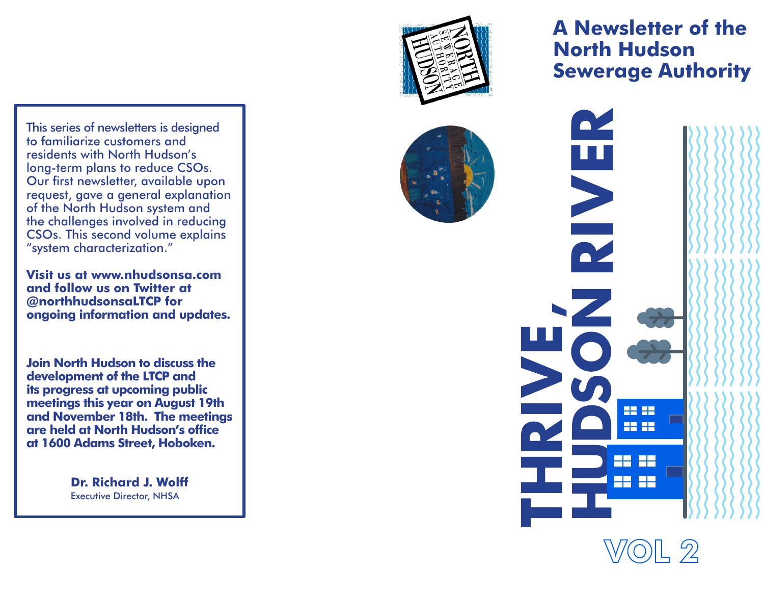This series of newsletters is designed to familiarize customers and residents with North Hudson's long-term plans to reduce CSOs. Our first newsletter, available upon request, gave a general explanation of the North Hudson system and the challenges involved in reducing CSOs. This second volume explains "system characterization."

**Visit us at www.nhudsonsa.com and follow us on Twitter at @northhudsonsaLTCP for ongoing information and updates.**

**Join North Hudson to discuss the development of the LTCP and its progress at upcoming public meetings this year on August 19th and November 18th. The meetings are held at North Hudson's office at 1600 Adams Street, Hoboken.**

> **Dr. Richard J. Wolff** Executive Director, NHSA



**A Newsletter of the North Hudson Sewerage Authority**

 $\blacksquare$ 

R.

22 SS **22.22** 

FR 55

22 SS